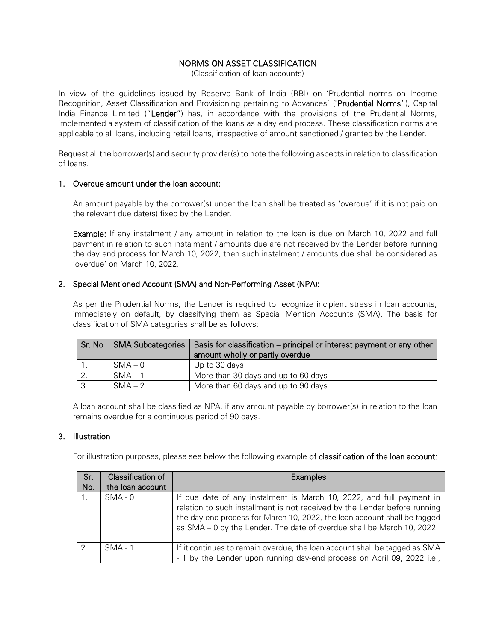## NORMS ON ASSET CLASSIFICATION

(Classification of loan accounts)

In view of the guidelines issued by Reserve Bank of India (RBI) on 'Prudential norms on Income Recognition, Asset Classification and Provisioning pertaining to Advances' ("Prudential Norms"), Capital India Finance Limited ("Lender") has, in accordance with the provisions of the Prudential Norms, implemented a system of classification of the loans as a day end process. These classification norms are applicable to all loans, including retail loans, irrespective of amount sanctioned / granted by the Lender.

Request all the borrower(s) and security provider(s) to note the following aspects in relation to classification of loans.

### 1. Overdue amount under the loan account:

An amount payable by the borrower(s) under the loan shall be treated as 'overdue' if it is not paid on the relevant due date(s) fixed by the Lender.

Example: If any instalment / any amount in relation to the loan is due on March 10, 2022 and full payment in relation to such instalment / amounts due are not received by the Lender before running the day end process for March 10, 2022, then such instalment / amounts due shall be considered as 'overdue' on March 10, 2022.

## 2. Special Mentioned Account (SMA) and Non-Performing Asset (NPA):

As per the Prudential Norms, the Lender is required to recognize incipient stress in loan accounts, immediately on default, by classifying them as Special Mention Accounts (SMA). The basis for classification of SMA categories shall be as follows:

| Sr. No | SMA Subcategories | Basis for classification - principal or interest payment or any other<br>amount wholly or partly overdue |
|--------|-------------------|----------------------------------------------------------------------------------------------------------|
|        | $SMA - 0$         | Up to 30 days                                                                                            |
|        | $SMA - 1$         | More than 30 days and up to 60 days                                                                      |
| -3.    | $SMA - 2$         | More than 60 days and up to 90 days                                                                      |

A loan account shall be classified as NPA, if any amount payable by borrower(s) in relation to the loan remains overdue for a continuous period of 90 days.

### 3. Illustration

For illustration purposes, please see below the following example of classification of the loan account:

| Sr.           | Classification of | <b>Examples</b>                                                                                                                                                                                                                                                                                         |
|---------------|-------------------|---------------------------------------------------------------------------------------------------------------------------------------------------------------------------------------------------------------------------------------------------------------------------------------------------------|
| No.           | the loan account  |                                                                                                                                                                                                                                                                                                         |
|               | $SMA - 0$         | If due date of any instalment is March 10, 2022, and full payment in<br>relation to such installment is not received by the Lender before running<br>the day-end process for March 10, 2022, the loan account shall be tagged<br>as SMA - 0 by the Lender. The date of overdue shall be March 10, 2022. |
| $\mathcal{P}$ | $SMA - 1$         | If it continues to remain overdue, the loan account shall be tagged as SMA<br>- 1 by the Lender upon running day-end process on April 09, 2022 i.e.,                                                                                                                                                    |